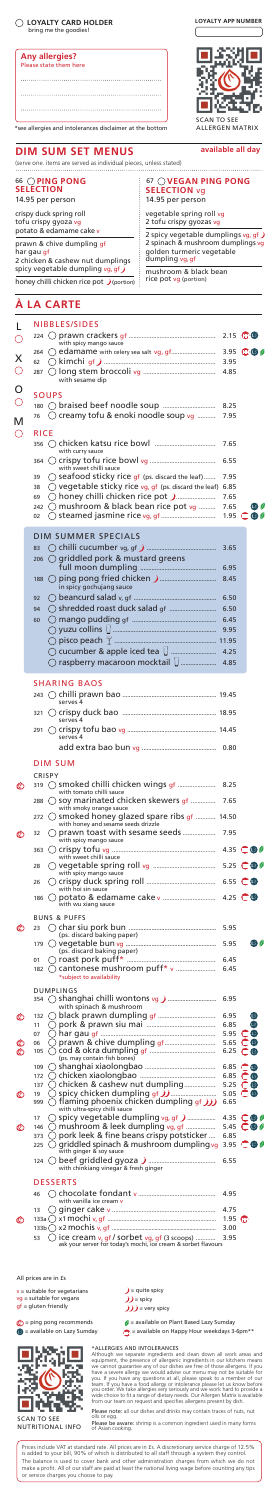# **LOYALTY CARD HOLDER** bring me the goodies!



\*see allergies and intolerances disclaimer at the bottom

|         |            | <b>NIBBLES/SIDES</b>                                                                              |              |                                    |
|---------|------------|---------------------------------------------------------------------------------------------------|--------------|------------------------------------|
|         | 224        | with spicy mango sauce                                                                            |              | $2.15$ $@0$ $@$                    |
| Х       |            |                                                                                                   |              | 3.95 $\mathbf{w}$ $\mathbf{s}$     |
|         | 62<br>287  |                                                                                                   | 3.95<br>4.85 |                                    |
|         |            | with sesame dip                                                                                   |              |                                    |
|         |            | <b>SOUPS</b>                                                                                      |              |                                    |
|         |            |                                                                                                   | 8.25         |                                    |
| M       | 76         | C creamy tofu & enoki noodle soup vg                                                              | 7.95         |                                    |
| $( \ )$ | RICE       |                                                                                                   |              |                                    |
|         |            | with curry sauce                                                                                  | 7.65         |                                    |
|         |            | with sweet chilli sauce                                                                           | 6.55         |                                    |
|         | 39         | $\bigcirc$ seafood sticky rice gf (ps. discard the leaf)                                          | 7.95         |                                    |
|         | 38         | $\bigcirc$ vegetable sticky rice vg, gf (ps. discard the leaf) 6.85                               |              |                                    |
|         | 69<br>242  | ○ honey chilli chicken rice pot ( رون الله السيسيسيينيين )<br>O mushroom & black bean rice pot vg | 7.65<br>7.65 | (IS) (/                            |
|         | 02         |                                                                                                   |              | 1.95 $\mathbf \Box$ $\mathbf \Box$ |
|         |            | <b>DIM SUMMER SPECIALS</b>                                                                        |              |                                    |
|         | 83         |                                                                                                   | 3.65         |                                    |
|         | 206        | $\bigcirc$ griddled pork & mustard greens                                                         |              |                                    |
|         |            |                                                                                                   | 6.95         |                                    |
|         |            | in spicy gochujang sauce                                                                          | 8.45         |                                    |
|         | 92         |                                                                                                   | 6.50         |                                    |
|         | 94         |                                                                                                   | 6.50         |                                    |
|         | 60         |                                                                                                   | 6.45         |                                    |
|         |            |                                                                                                   | 9.95         |                                    |
|         |            |                                                                                                   |              |                                    |
|         |            | $\bigcirc$ raspberry macaroon mocktail $\bigcup$                                                  | 4.85         |                                    |
|         |            |                                                                                                   |              |                                    |
|         |            | <b>SHARING BAOS</b>                                                                               |              |                                    |
|         |            | serves 4                                                                                          |              |                                    |
|         |            |                                                                                                   |              |                                    |
|         |            | serves 4                                                                                          |              |                                    |
|         |            | serves 4                                                                                          |              |                                    |
|         |            |                                                                                                   |              |                                    |
|         |            | DIM SUM                                                                                           |              |                                    |
|         |            | CRISPY                                                                                            |              |                                    |
| ©       | 319        | with tomato chilli sauce                                                                          | 8.25         |                                    |
|         | 288        | soy marinated chicken skewers of                                                                  | 7.65         |                                    |
|         | 272        | with smoky orange sauce<br>) smoked honey glazed spare ribs gf  14.50                             |              |                                    |
|         | 32         | with honey and sesame seeds drizzle<br>prawn toast with sesame seeds                              | 7.95         |                                    |
| ©       |            | with spicy mango sauce                                                                            |              |                                    |
|         | 363        | with sweet chilli sauce                                                                           | 4.35         | $\mathbf{O}$ $\mathbf{O}$          |
|         | 28         | $\rightarrow$                                                                                     | 5.25         | $\mathbf{w}$                       |
|         | 26         | with spicy mango sauce                                                                            | 6.55         | (HH) (LS)                          |
|         | 186        | with hoi sin sauce<br>$($ )                                                                       | 4.25         | <b>HD</b> US                       |
|         |            | with wu xiang sauce                                                                               |              |                                    |
|         |            | <b>BUNS &amp; PUFFS</b>                                                                           |              |                                    |
|         | 23         | (ps. discard baking paper)                                                                        | 5.95         |                                    |
|         | 179        | (ps. discard baking paper)                                                                        | 5.95         | CS (                               |
|         | 01         |                                                                                                   | 6.45         |                                    |
|         | 182        | *subject to availability                                                                          | 6.45         |                                    |
|         |            | <b>DUMPLINGS</b>                                                                                  |              |                                    |
|         |            |                                                                                                   | 6.95         |                                    |
|         | 132        | with spinach & mushroom<br>€.                                                                     | 6.95         | (LS                                |
|         | 11         | J.                                                                                                | 6.85         | ίś                                 |
|         | 07         |                                                                                                   | 5.95         | GDGS<br><b>GIA</b> CS              |
|         | 06<br>105  |                                                                                                   | 5.65<br>6.25 | GB CS                              |
|         | 109        | (ps. may contain fish bones)                                                                      | 6.85         | <b>HD</b> <sub>CS</sub>            |
|         | 172        |                                                                                                   | 6.85         | <b>OD</b> CS                       |
| ©       | 137<br>19  | $\bigcirc$ chicken & cashew nut dumpling                                                          | 5.25<br>5.05 | ⊕CS<br>HD(S)                       |
|         | 999        | $\bigcirc$ flaming phoenix chicken dumpling $g(f)$ )                                              | 6.65         |                                    |
|         | 17         | with ultra-spicy chilli sauce                                                                     | 4.35         | ⊕G∥                                |
| ©       | 146        | $\bigcirc$ mushroom & leek dumpling $vg$ , gf                                                     | 5.45         | <b>GBO</b>                         |
|         | 373<br>225 | pork leek & fine beans crispy potsticker<br>griddled spinach & mushroom dumpling vg               | 6.85<br>3.95 | <b>GBO</b>                         |
|         |            | with ginger & soy sauce                                                                           |              |                                    |
|         |            | with chinkiang vinegar & fresh ginger                                                             | 6.55         |                                    |
|         |            | DESSERTS                                                                                          |              |                                    |
|         | 46         |                                                                                                   | 4.95         |                                    |
|         | 13         | with vanilla ice cream v                                                                          | 4.75         |                                    |
| ©       |            |                                                                                                   | 1.95 CDD     |                                    |
|         | 53         | $\bigcirc$ ice cream v, gf / sorbet vg, gf (3 scoops)                                             | 3.00<br>3.95 |                                    |
|         |            | ask your server for today's mochi, ice cream & sorbet flavours                                    |              |                                    |

v = suitable for vegetarians vg = suitable for vegans gf = gluten friendly

 $\circled{ }$  = ping pong recommends<br> $\bullet$  = available on Lazy Sumday

Prices include VAT at standard rate. All prices are in £s. A discretionary service charge of 12.5% is added to your bill, 90% of which is distributed to all staff through a system they control. The balance is used to cover bank and other administration charges from which we do not<br>make a profit. All of our staff are paid at least the national living wage before counting any tips<br>or service charges you choose to p

**LOYALTY APP NUMBER** I

## **DIM SUM SET MENUS available all day**

#### 66 **PING PONG SELECTION**

14.95 per person

crispy duck spring roll tofu crispy gyoza vg potato & edamame cake v

prawn & chive dumpling gf

.<br>har gau gf 2 chicken & cashew nut dumplings spicy vegetable dumpling vg, gf) honey chilli chicken rice pot  $\bigcup$  (portion)

67 **VEGAN PING PONG SELECTION** vg 14.95 per person

vegetable spring roll vg 2 tofu crispy gyozas vg

2 spicy vegetable dumplings vg, gf ) 2 spinach & mushroom dumplings vg golden turmeric vegetable<br>dumpling vg, gf

mushroom & black bean rice pot vg (portion)

(serve one. items are served as individual pieces, unless stated) 

**Product** 

All prices are in £s

## **À LA CARTE**



SCAN TO SEE NUTRITIONAL INFO

 $j$  = quite spicy  $J$  = spicy  $JJ$  = very spicy

 $\emptyset$  = available on Plant Based Lazy Sumday

 $\binom{n}{k}$  = available on Happy Hour weekdays 3-6pm\*\*

\*ALLERGIES AND INTOLERANCES<br>Athough we separate ingredients and clean down all work areas and<br>equipment, the presence of allergenic ingredients in our kitchens means<br>equipment, the presence of allergenic ingredients in our

Please note: all our dishes and drinks may contain traces of nuts, nut<br>oils or egg.

Please be aware: shrimp is a common ingredient used in many forms of Asian cooking.



ALLERGEN MATRIX